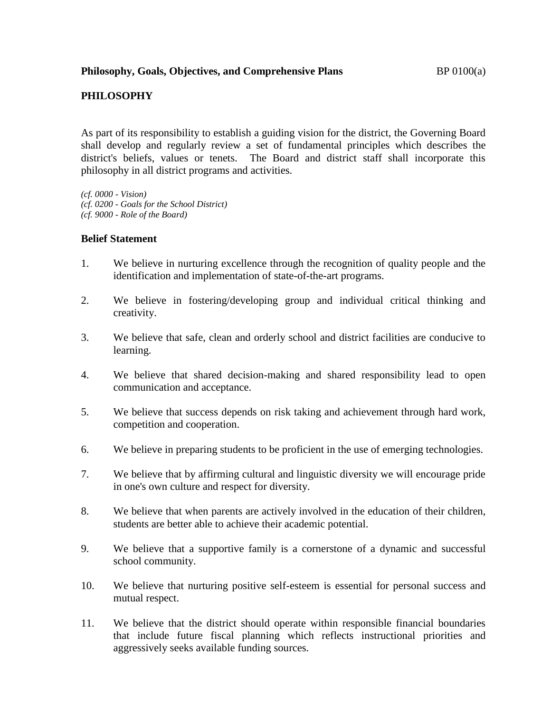## **PHILOSOPHY**

As part of its responsibility to establish a guiding vision for the district, the Governing Board shall develop and regularly review a set of fundamental principles which describes the district's beliefs, values or tenets. The Board and district staff shall incorporate this philosophy in all district programs and activities.

*(cf. 0000 - Vision) (cf. 0200 - Goals for the School District) (cf. 9000 - Role of the Board)*

## **Belief Statement**

- 1. We believe in nurturing excellence through the recognition of quality people and the identification and implementation of state-of-the-art programs.
- 2. We believe in fostering/developing group and individual critical thinking and creativity.
- 3. We believe that safe, clean and orderly school and district facilities are conducive to learning.
- 4. We believe that shared decision-making and shared responsibility lead to open communication and acceptance.
- 5. We believe that success depends on risk taking and achievement through hard work, competition and cooperation.
- 6. We believe in preparing students to be proficient in the use of emerging technologies.
- 7. We believe that by affirming cultural and linguistic diversity we will encourage pride in one's own culture and respect for diversity.
- 8. We believe that when parents are actively involved in the education of their children, students are better able to achieve their academic potential.
- 9. We believe that a supportive family is a cornerstone of a dynamic and successful school community.
- 10. We believe that nurturing positive self-esteem is essential for personal success and mutual respect.
- 11. We believe that the district should operate within responsible financial boundaries that include future fiscal planning which reflects instructional priorities and aggressively seeks available funding sources.